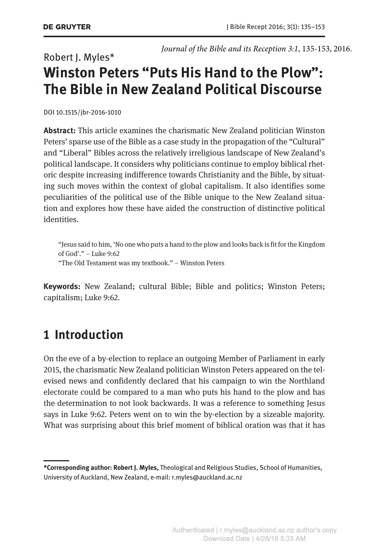## Robert J. Myles\* **Winston Peters "Puts His Hand to the Plow": The Bible in New Zealand Political Discourse**

DOI 10.1515/jbr-2016-1010

**Abstract:** This article examines the charismatic New Zealand politician Winston Peters' sparse use of the Bible as a case study in the propagation of the "Cultural" and "Liberal" Bibles across the relatively irreligious landscape of New Zealand's political landscape. It considers why politicians continue to employ biblical rhetoric despite increasing indifference towards Christianity and the Bible, by situating such moves within the context of global capitalism. It also identifies some peculiarities of the political use of the Bible unique to the New Zealand situation and explores how these have aided the construction of distinctive political identities.

"Jesus said to him, 'No one who puts a hand to the plow and looks back is fit for the Kingdom of God'." – Luke 9:62 "The Old Testament was my textbook." – Winston Peters

**Keywords:** New Zealand; cultural Bible; Bible and politics; Winston Peters; capitalism; Luke 9:62.

### **1 Introduction**

On the eve of a by-election to replace an outgoing Member of Parliament in early 2015, the charismatic New Zealand politician Winston Peters appeared on the televised news and confidently declared that his campaign to win the Northland electorate could be compared to a man who puts his hand to the plow and has the determination to not look backwards. It was a reference to something Jesus says in Luke 9:62. Peters went on to win the by-election by a sizeable majority. What was surprising about this brief moment of biblical oration was that it has

**<sup>\*</sup>Corresponding author: Robert J. Myles,** Theological and Religious Studies, School of Humanities, University of Auckland, New Zealand, e-mail: r.myles@auckland.ac.nz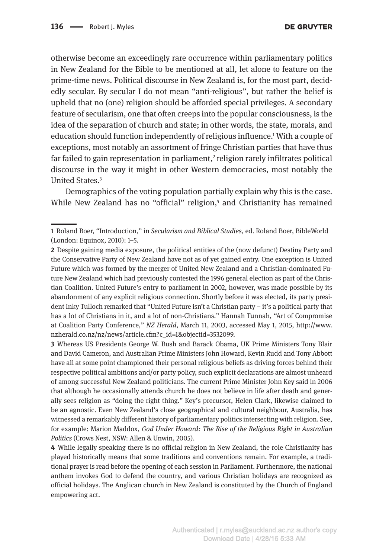otherwise become an exceedingly rare occurrence within parliamentary politics in New Zealand for the Bible to be mentioned at all, let alone to feature on the prime-time news. Political discourse in New Zealand is, for the most part, decidedly secular. By secular I do not mean "anti-religious", but rather the belief is upheld that no (one) religion should be afforded special privileges. A secondary feature of secularism, one that often creeps into the popular consciousness, is the idea of the separation of church and state; in other words, the state, morals, and education should function independently of religious influence.1 With a couple of exceptions, most notably an assortment of fringe Christian parties that have thus far failed to gain representation in parliament, $^2$  religion rarely infiltrates political discourse in the way it might in other Western democracies, most notably the United States.3

Demographics of the voting population partially explain why this is the case. While New Zealand has no "official" religion,<sup>4</sup> and Christianity has remained

**3** Whereas US Presidents George W. Bush and Barack Obama, UK Prime Ministers Tony Blair and David Cameron, and Australian Prime Ministers John Howard, Kevin Rudd and Tony Abbott have all at some point championed their personal religious beliefs as driving forces behind their respective political ambitions and/or party policy, such explicit declarations are almost unheard of among successful New Zealand politicians. The current Prime Minister John Key said in 2006 that although he occasionally attends church he does not believe in life after death and generally sees religion as "doing the right thing." Key's precursor, Helen Clark, likewise claimed to be an agnostic. Even New Zealand's close geographical and cultural neighbour, Australia, has witnessed a remarkably different history of parliamentary politics intersecting with religion. See, for example: Marion Maddox, *God Under Howard: The Rise of the Religious Right in Australian Politics* (Crows Nest, NSW: Allen & Unwin, 2005).

**4** While legally speaking there is no official religion in New Zealand, the role Christianity has played historically means that some traditions and conventions remain. For example, a traditional prayer is read before the opening of each session in Parliament. Furthermore, the national anthem invokes God to defend the country, and various Christian holidays are recognized as official holidays. The Anglican church in New Zealand is constituted by the Church of England empowering act.

<sup>1</sup> Roland Boer, "Introduction," in *Secularism and Biblical Studies*, ed. Roland Boer, BibleWorld (London: Equinox, 2010): 1–5.

**<sup>2</sup>** Despite gaining media exposure, the political entities of the (now defunct) Destiny Party and the Conservative Party of New Zealand have not as of yet gained entry. One exception is United Future which was formed by the merger of United New Zealand and a Christian-dominated Future New Zealand which had previously contested the 1996 general election as part of the Christian Coalition. United Future's entry to parliament in 2002, however, was made possible by its abandonment of any explicit religious connection. Shortly before it was elected, its party president Inky Tulloch remarked that "United Future isn't a Christian party – it's a political party that has a lot of Christians in it, and a lot of non-Christians." Hannah Tunnah, "Art of Compromise at Coalition Party Conference," *NZ Herald*, March 11, 2003, accessed May 1, 2015, [http://www.](http://www.nzherald.co.nz/nz/news/article.cfm?c_id=1&objectid=3532099) [nzherald.co.nz/nz/news/article.cfm?c\\_id=1&objectid=3532099](http://www.nzherald.co.nz/nz/news/article.cfm?c_id=1&objectid=3532099).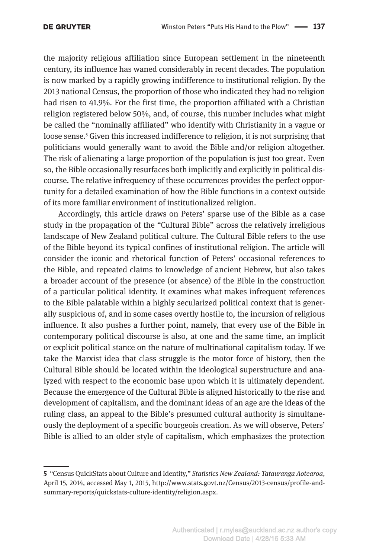the majority religious affiliation since European settlement in the nineteenth century, its influence has waned considerably in recent decades. The population is now marked by a rapidly growing indifference to institutional religion. By the 2013 national Census, the proportion of those who indicated they had no religion had risen to 41.9%. For the first time, the proportion affiliated with a Christian religion registered below 50%, and, of course, this number includes what might be called the "nominally affiliated" who identify with Christianity in a vague or loose sense.<sup>5</sup> Given this increased indifference to religion, it is not surprising that politicians would generally want to avoid the Bible and/or religion altogether. The risk of alienating a large proportion of the population is just too great. Even so, the Bible occasionally resurfaces both implicitly and explicitly in political discourse. The relative infrequency of these occurrences provides the perfect opportunity for a detailed examination of how the Bible functions in a context outside of its more familiar environment of institutionalized religion.

Accordingly, this article draws on Peters' sparse use of the Bible as a case study in the propagation of the "Cultural Bible" across the relatively irreligious landscape of New Zealand political culture. The Cultural Bible refers to the use of the Bible beyond its typical confines of institutional religion. The article will consider the iconic and rhetorical function of Peters' occasional references to the Bible, and repeated claims to knowledge of ancient Hebrew, but also takes a broader account of the presence (or absence) of the Bible in the construction of a particular political identity. It examines what makes infrequent references to the Bible palatable within a highly secularized political context that is generally suspicious of, and in some cases overtly hostile to, the incursion of religious influence. It also pushes a further point, namely, that every use of the Bible in contemporary political discourse is also, at one and the same time, an implicit or explicit political stance on the nature of multinational capitalism today. If we take the Marxist idea that class struggle is the motor force of history, then the Cultural Bible should be located within the ideological superstructure and analyzed with respect to the economic base upon which it is ultimately dependent. Because the emergence of the Cultural Bible is aligned historically to the rise and development of capitalism, and the dominant ideas of an age are the ideas of the ruling class, an appeal to the Bible's presumed cultural authority is simultaneously the deployment of a specific bourgeois creation. As we will observe, Peters' Bible is allied to an older style of capitalism, which emphasizes the protection

**<sup>5</sup>** "Census QuickStats about Culture and Identity," *Statistics New Zealand: Tatauranga Aotearoa*, April 15, 2014, accessed May 1, 2015, [http://www.stats.govt.nz/Census/2013-census/profile-and](http://www.stats.govt.nz/Census/2013-census/profile-and-summary-reports/quickstats-culture-identity/religion.aspx)[summary-reports/quickstats-culture-identity/religion.aspx](http://www.stats.govt.nz/Census/2013-census/profile-and-summary-reports/quickstats-culture-identity/religion.aspx).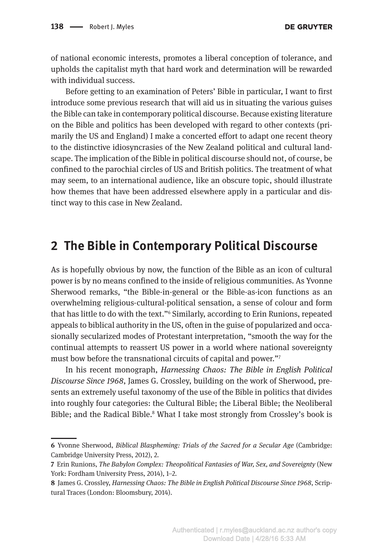of national economic interests, promotes a liberal conception of tolerance, and upholds the capitalist myth that hard work and determination will be rewarded with individual success.

Before getting to an examination of Peters' Bible in particular, I want to first introduce some previous research that will aid us in situating the various guises the Bible can take in contemporary political discourse. Because existing literature on the Bible and politics has been developed with regard to other contexts (primarily the US and England) I make a concerted effort to adapt one recent theory to the distinctive idiosyncrasies of the New Zealand political and cultural landscape. The implication of the Bible in political discourse should not, of course, be confined to the parochial circles of US and British politics. The treatment of what may seem, to an international audience, like an obscure topic, should illustrate how themes that have been addressed elsewhere apply in a particular and distinct way to this case in New Zealand.

### **2 The Bible in Contemporary Political Discourse**

As is hopefully obvious by now, the function of the Bible as an icon of cultural power is by no means confined to the inside of religious communities. As Yvonne Sherwood remarks, "the Bible-in-general or the Bible-as-icon functions as an overwhelming religious-cultural-political sensation, a sense of colour and form that has little to do with the text."6 Similarly, according to Erin Runions, repeated appeals to biblical authority in the US, often in the guise of popularized and occasionally secularized modes of Protestant interpretation, "smooth the way for the continual attempts to reassert US power in a world where national sovereignty must bow before the transnational circuits of capital and power."7

In his recent monograph, *Harnessing Chaos: The Bible in English Political Discourse Since 1968*, James G. Crossley, building on the work of Sherwood, presents an extremely useful taxonomy of the use of the Bible in politics that divides into roughly four categories: the Cultural Bible; the Liberal Bible; the Neoliberal Bible; and the Radical Bible.<sup>8</sup> What I take most strongly from Crossley's book is

**<sup>6</sup>** Yvonne Sherwood, *Biblical Blaspheming: Trials of the Sacred for a Secular Age* (Cambridge: Cambridge University Press, 2012), 2.

**<sup>7</sup>** Erin Runions, *The Babylon Complex: Theopolitical Fantasies of War, Sex, and Sovereignty* (New York: Fordham University Press, 2014), 1–2.

**<sup>8</sup>** James G. Crossley, *Harnessing Chaos: The Bible in English Political Discourse Since 1968*, Scriptural Traces (London: Bloomsbury, 2014).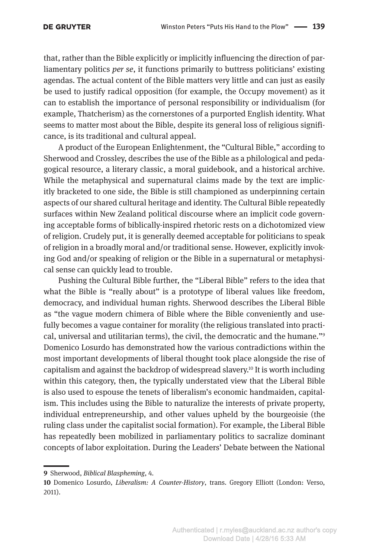that, rather than the Bible explicitly or implicitly influencing the direction of parliamentary politics *per se*, it functions primarily to buttress politicians' existing agendas. The actual content of the Bible matters very little and can just as easily be used to justify radical opposition (for example, the Occupy movement) as it can to establish the importance of personal responsibility or individualism (for example, Thatcherism) as the cornerstones of a purported English identity. What seems to matter most about the Bible, despite its general loss of religious significance, is its traditional and cultural appeal.

A product of the European Enlightenment, the "Cultural Bible," according to Sherwood and Crossley, describes the use of the Bible as a philological and pedagogical resource, a literary classic, a moral guidebook, and a historical archive. While the metaphysical and supernatural claims made by the text are implicitly bracketed to one side, the Bible is still championed as underpinning certain aspects of our shared cultural heritage and identity. The Cultural Bible repeatedly surfaces within New Zealand political discourse where an implicit code governing acceptable forms of biblically-inspired rhetoric rests on a dichotomized view of religion. Crudely put, it is generally deemed acceptable for politicians to speak of religion in a broadly moral and/or traditional sense. However, explicitly invoking God and/or speaking of religion or the Bible in a supernatural or metaphysical sense can quickly lead to trouble.

Pushing the Cultural Bible further, the "Liberal Bible" refers to the idea that what the Bible is "really about" is a prototype of liberal values like freedom, democracy, and individual human rights. Sherwood describes the Liberal Bible as "the vague modern chimera of Bible where the Bible conveniently and usefully becomes a vague container for morality (the religious translated into practical, universal and utilitarian terms), the civil, the democratic and the humane."9 Domenico Losurdo has demonstrated how the various contradictions within the most important developments of liberal thought took place alongside the rise of capitalism and against the backdrop of widespread slavery.10 It is worth including within this category, then, the typically understated view that the Liberal Bible is also used to espouse the tenets of liberalism's economic handmaiden, capitalism. This includes using the Bible to naturalize the interests of private property, individual entrepreneurship, and other values upheld by the bourgeoisie (the ruling class under the capitalist social formation). For example, the Liberal Bible has repeatedly been mobilized in parliamentary politics to sacralize dominant concepts of labor exploitation. During the Leaders' Debate between the National

**<sup>9</sup>** Sherwood, *Biblical Blaspheming*, 4.

**<sup>10</sup>** Domenico Losurdo, *Liberalism: A Counter-History*, trans. Gregory Elliott (London: Verso, 2011).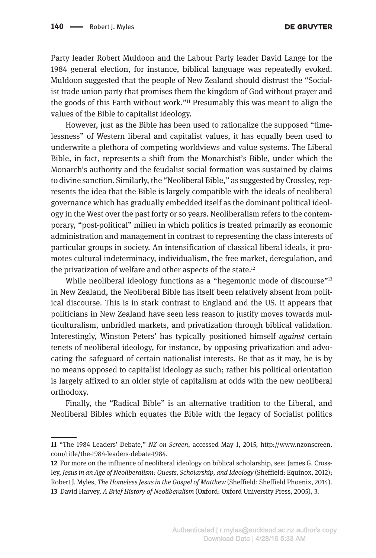Party leader Robert Muldoon and the Labour Party leader David Lange for the 1984 general election, for instance, biblical language was repeatedly evoked. Muldoon suggested that the people of New Zealand should distrust the "Socialist trade union party that promises them the kingdom of God without prayer and the goods of this Earth without work."11 Presumably this was meant to align the values of the Bible to capitalist ideology.

However, just as the Bible has been used to rationalize the supposed "timelessness" of Western liberal and capitalist values, it has equally been used to underwrite a plethora of competing worldviews and value systems. The Liberal Bible, in fact, represents a shift from the Monarchist's Bible, under which the Monarch's authority and the feudalist social formation was sustained by claims to divine sanction. Similarly, the "Neoliberal Bible," as suggested by Crossley, represents the idea that the Bible is largely compatible with the ideals of neoliberal governance which has gradually embedded itself as the dominant political ideology in the West over the past forty or so years. Neoliberalism refers to the contemporary, "post-political" milieu in which politics is treated primarily as economic administration and management in contrast to representing the class interests of particular groups in society. An intensification of classical liberal ideals, it promotes cultural indeterminacy, individualism, the free market, deregulation, and the privatization of welfare and other aspects of the state.<sup>12</sup>

While neoliberal ideology functions as a "hegemonic mode of discourse"<sup>13</sup> in New Zealand, the Neoliberal Bible has itself been relatively absent from political discourse. This is in stark contrast to England and the US. It appears that politicians in New Zealand have seen less reason to justify moves towards multiculturalism, unbridled markets, and privatization through biblical validation. Interestingly, Winston Peters' has typically positioned himself *against* certain tenets of neoliberal ideology, for instance, by opposing privatization and advocating the safeguard of certain nationalist interests. Be that as it may, he is by no means opposed to capitalist ideology as such; rather his political orientation is largely affixed to an older style of capitalism at odds with the new neoliberal orthodoxy.

Finally, the "Radical Bible" is an alternative tradition to the Liberal, and Neoliberal Bibles which equates the Bible with the legacy of Socialist politics

**<sup>11</sup>** "The 1984 Leaders' Debate," *NZ on Screen*, accessed May 1, 2015, [http://www.nzonscreen.](http://www.nzonscreen.com/title/the-1984-leaders-debate-1984) [com/title/the-1984-leaders-debate-1984](http://www.nzonscreen.com/title/the-1984-leaders-debate-1984).

**<sup>12</sup>** For more on the influence of neoliberal ideology on biblical scholarship, see: James G. Crossley, *Jesus in an Age of Neoliberalism: Quests, Scholarship, and Ideology* (Sheffield: Equinox, 2012); Robert J. Myles, *The Homeless Jesus in the Gospel of Matthew* (Sheffield: Sheffield Phoenix, 2014). **13** David Harvey, *A Brief History of Neoliberalism* (Oxford: Oxford University Press, 2005), 3.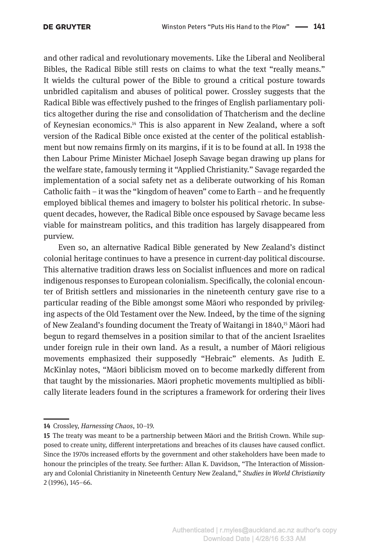and other radical and revolutionary movements. Like the Liberal and Neoliberal Bibles, the Radical Bible still rests on claims to what the text "really means." It wields the cultural power of the Bible to ground a critical posture towards unbridled capitalism and abuses of political power. Crossley suggests that the Radical Bible was effectively pushed to the fringes of English parliamentary politics altogether during the rise and consolidation of Thatcherism and the decline of Keynesian economics.<sup>14</sup> This is also apparent in New Zealand, where a soft version of the Radical Bible once existed at the center of the political establishment but now remains firmly on its margins, if it is to be found at all. In 1938 the then Labour Prime Minister Michael Joseph Savage began drawing up plans for the welfare state, famously terming it "Applied Christianity." Savage regarded the implementation of a social safety net as a deliberate outworking of his Roman Catholic faith – it was the "kingdom of heaven" come to Earth – and he frequently employed biblical themes and imagery to bolster his political rhetoric. In subsequent decades, however, the Radical Bible once espoused by Savage became less viable for mainstream politics, and this tradition has largely disappeared from purview.

Even so, an alternative Radical Bible generated by New Zealand's distinct colonial heritage continues to have a presence in current-day political discourse. This alternative tradition draws less on Socialist influences and more on radical indigenous responses to European colonialism. Specifically, the colonial encounter of British settlers and missionaries in the nineteenth century gave rise to a particular reading of the Bible amongst some Māori who responded by privileging aspects of the Old Testament over the New. Indeed, by the time of the signing of New Zealand's founding document the Treaty of Waitangi in 1840,<sup>15</sup> Māori had begun to regard themselves in a position similar to that of the ancient Israelites under foreign rule in their own land. As a result, a number of Māori religious movements emphasized their supposedly "Hebraic" elements. As Judith E. McKinlay notes, "Māori biblicism moved on to become markedly different from that taught by the missionaries. Māori prophetic movements multiplied as biblically literate leaders found in the scriptures a framework for ordering their lives

**<sup>14</sup>** Crossley, *Harnessing Chaos*, 10–19.

**<sup>15</sup>** The treaty was meant to be a partnership between Māori and the British Crown. While supposed to create unity, different interpretations and breaches of its clauses have caused conflict. Since the 1970s increased efforts by the government and other stakeholders have been made to honour the principles of the treaty. See further: Allan K. Davidson, "The Interaction of Missionary and Colonial Christianity in Nineteenth Century New Zealand," *Studies in World Christianity* 2 (1996), 145–66.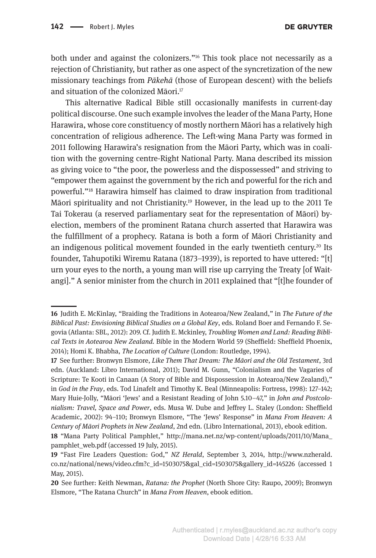both under and against the colonizers."16 This took place not necessarily as a rejection of Christianity, but rather as one aspect of the syncretization of the new missionary teachings from *Pākehā* (those of European descent) with the beliefs and situation of the colonized Māori.17

This alternative Radical Bible still occasionally manifests in current-day political discourse. One such example involves the leader of the Mana Party, Hone Harawira, whose core constituency of mostly northern Māori has a relatively high concentration of religious adherence. The Left-wing Mana Party was formed in 2011 following Harawira's resignation from the Māori Party, which was in coalition with the governing centre-Right National Party. Mana described its mission as giving voice to "the poor, the powerless and the dispossessed" and striving to "empower them against the government by the rich and powerful for the rich and powerful."18 Harawira himself has claimed to draw inspiration from traditional Māori spirituality and not Christianity.19 However, in the lead up to the 2011 Te Tai Tokerau (a reserved parliamentary seat for the representation of Māori) byelection, members of the prominent Ratana church asserted that Harawira was the fulfillment of a prophecy. Ratana is both a form of Māori Christianity and an indigenous political movement founded in the early twentieth century.<sup>20</sup> Its founder, Tahupotiki Wiremu Ratana (1873–1939), is reported to have uttered: "[t] urn your eyes to the north, a young man will rise up carrying the Treaty [of Waitangi]." A senior minister from the church in 2011 explained that "[t]he founder of

**<sup>16</sup>** Judith E. McKinlay, "Braiding the Traditions in Aotearoa/New Zealand," in *The Future of the Biblical Past: Envisioning Biblical Studies on a Global Key*, eds. Roland Boer and Fernando F. Segovia (Atlanta: SBL, 2012): 209. Cf. Judith E. Mckinley, *Troubling Women and Land: Reading Biblical Texts in Aotearoa New Zealand.* Bible in the Modern World 59 (Sheffield: Sheffield Phoenix, 2014); Homi K. Bhabha, *The Location of Culture* (London: Routledge, 1994).

**<sup>17</sup>** See further: Bronwyn Elsmore, *Like Them That Dream: The Māori and the Old Testament*, 3rd edn. (Auckland: Libro International, 2011); David M. Gunn, "Colonialism and the Vagaries of Scripture: Te Kooti in Canaan (A Story of Bible and Dispossession in Aotearoa/New Zealand)," in *God in the Fray*, eds. Tod Linafelt and Timothy K. Beal (Minneapolis: Fortress, 1998): 127–142; Mary Huie-Jolly, "Māori 'Jews' and a Resistant Reading of John 5.10–47," in *John and Postcolonialism: Travel, Space and Power*, eds. Musa W. Dube and Jeffrey L. Staley (London: Sheffield Academic, 2002): 94–110; Bronwyn Elsmore, "The 'Jews' Response" in *Mana From Heaven: A Century of Māori Prophets in New Zealand*, 2nd edn. (Libro International, 2013), ebook edition. **18** "Mana Party Political Pamphlet," [http://mana.net.nz/wp-content/uploads/2011/10/Mana\\_](http://mana.net.nz/wp-content/uploads/2011/10/Mana_pamphlet_web.pdf) [pamphlet\\_web.pdf](http://mana.net.nz/wp-content/uploads/2011/10/Mana_pamphlet_web.pdf) (accessed 19 July, 2015).

**<sup>19</sup>** "Fast Fire Leaders Question: God," *NZ Herald*, September 3, 2014, [http://www.nzherald.](http://www.nzherald.co.nz/national/news/video.cfm?c_id=1503075&gal_cid=1503075&gallery_id=145226) [co.nz/national/news/video.cfm?c\\_id=1503075&gal\\_cid=1503075&gallery\\_id=145226](http://www.nzherald.co.nz/national/news/video.cfm?c_id=1503075&gal_cid=1503075&gallery_id=145226) (accessed 1 May, 2015).

**<sup>20</sup>** See further: Keith Newman, *Ratana: the Prophet* (North Shore City: Raupo, 2009); Bronwyn Elsmore, "The Ratana Church" in *Mana From Heaven*, ebook edition.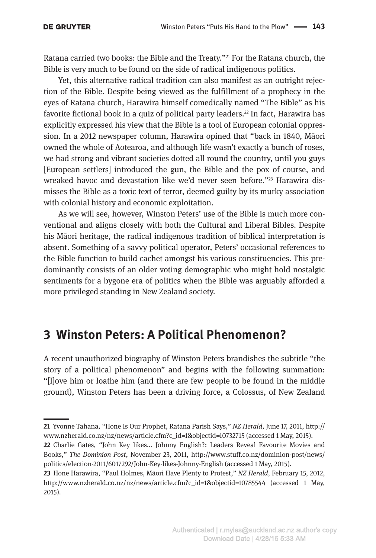Ratana carried two books: the Bible and the Treaty."<sup>21</sup> For the Ratana church, the Bible is very much to be found on the side of radical indigenous politics.

Yet, this alternative radical tradition can also manifest as an outright rejection of the Bible. Despite being viewed as the fulfillment of a prophecy in the eyes of Ratana church, Harawira himself comedically named "The Bible" as his favorite fictional book in a quiz of political party leaders.<sup>22</sup> In fact, Harawira has explicitly expressed his view that the Bible is a tool of European colonial oppression. In a 2012 newspaper column, Harawira opined that "back in 1840, Māori owned the whole of Aotearoa, and although life wasn't exactly a bunch of roses, we had strong and vibrant societies dotted all round the country, until you guys [European settlers] introduced the gun, the Bible and the pox of course, and wreaked havoc and devastation like we'd never seen before."<sup>23</sup> Harawira dismisses the Bible as a toxic text of terror, deemed guilty by its murky association with colonial history and economic exploitation.

As we will see, however, Winston Peters' use of the Bible is much more conventional and aligns closely with both the Cultural and Liberal Bibles. Despite his Māori heritage, the radical indigenous tradition of biblical interpretation is absent. Something of a savvy political operator, Peters' occasional references to the Bible function to build cachet amongst his various constituencies. This predominantly consists of an older voting demographic who might hold nostalgic sentiments for a bygone era of politics when the Bible was arguably afforded a more privileged standing in New Zealand society.

#### **3 Winston Peters: A Political Phenomenon?**

A recent unauthorized biography of Winston Peters brandishes the subtitle "the story of a political phenomenon" and begins with the following summation: "[l]ove him or loathe him (and there are few people to be found in the middle ground), Winston Peters has been a driving force, a Colossus, of New Zealand

**<sup>21</sup>** Yvonne Tahana, "Hone Is Our Prophet, Ratana Parish Says," *NZ Herald*, June 17, 2011, [http://](http://www.nzherald.co.nz/nz/news/article.cfm?c_id=1&objectid=10732715) [www.nzherald.co.nz/nz/news/article.cfm?c\\_id=1&objectid=10732715](http://www.nzherald.co.nz/nz/news/article.cfm?c_id=1&objectid=10732715) (accessed 1 May, 2015).

**<sup>22</sup>** Charlie Gates, "John Key likes... Johnny English?: Leaders Reveal Favourite Movies and Books," *The Dominion Post*, November 23, 2011, [http://www.stuff.co.nz/dominion-post/news/](http://www.stuff.co.nz/dominion-post/news/politics/election-2011/6017292/John-Key-likes-Johnny-English) [politics/election-2011/6017292/John-Key-likes-Johnny-English](http://www.stuff.co.nz/dominion-post/news/politics/election-2011/6017292/John-Key-likes-Johnny-English) (accessed 1 May, 2015).

**<sup>23</sup>** Hone Harawira, "Paul Holmes, Māori Have Plenty to Protest," *NZ Herald*, February 15, 2012, [http://www.nzherald.co.nz/nz/news/article.cfm?c\\_id=1&objectid=10785544](http://www.nzherald.co.nz/nz/news/article.cfm?c_id=1&objectid=10785544) (accessed 1 May, 2015).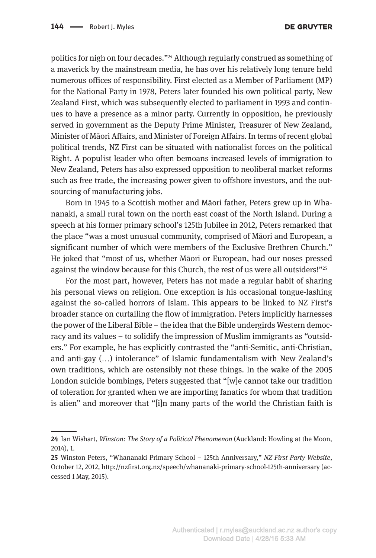politics for nigh on four decades."24 Although regularly construed as something of a maverick by the mainstream media, he has over his relatively long tenure held numerous offices of responsibility. First elected as a Member of Parliament (MP) for the National Party in 1978, Peters later founded his own political party, New Zealand First, which was subsequently elected to parliament in 1993 and continues to have a presence as a minor party. Currently in opposition, he previously served in government as the Deputy Prime Minister, Treasurer of New Zealand, Minister of Māori Affairs, and Minister of Foreign Affairs. In terms of recent global political trends, NZ First can be situated with nationalist forces on the political Right. A populist leader who often bemoans increased levels of immigration to New Zealand, Peters has also expressed opposition to neoliberal market reforms such as free trade, the increasing power given to offshore investors, and the outsourcing of manufacturing jobs.

Born in 1945 to a Scottish mother and Māori father, Peters grew up in Whananaki, a small rural town on the north east coast of the North Island. During a speech at his former primary school's 125th Jubilee in 2012, Peters remarked that the place "was a most unusual community, comprised of Māori and European, a significant number of which were members of the Exclusive Brethren Church." He joked that "most of us, whether Māori or European, had our noses pressed against the window because for this Church, the rest of us were all outsiders!"25

For the most part, however, Peters has not made a regular habit of sharing his personal views on religion. One exception is his occasional tongue-lashing against the so-called horrors of Islam. This appears to be linked to NZ First's broader stance on curtailing the flow of immigration. Peters implicitly harnesses the power of the Liberal Bible – the idea that the Bible undergirds Western democracy and its values – to solidify the impression of Muslim immigrants as "outsiders." For example, he has explicitly contrasted the "anti-Semitic, anti-Christian, and anti-gay (…) intolerance" of Islamic fundamentalism with New Zealand's own traditions, which are ostensibly not these things. In the wake of the 2005 London suicide bombings, Peters suggested that "[w]e cannot take our tradition of toleration for granted when we are importing fanatics for whom that tradition is alien" and moreover that "[i]n many parts of the world the Christian faith is

**<sup>24</sup>** Ian Wishart, *Winston: The Story of a Political Phenomenon* (Auckland: Howling at the Moon, 2014), 1.

**<sup>25</sup>** Winston Peters, "Whananaki Primary School – 125th Anniversary," *NZ First Party Website*, October 12, 2012,<http://nzfirst.org.nz/speech/whananaki-primary-school-125th-anniversary> (accessed 1 May, 2015).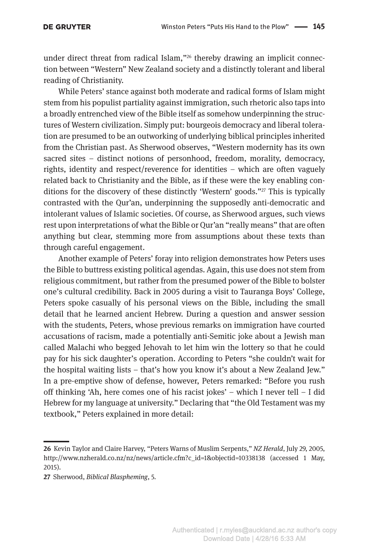under direct threat from radical Islam,"<sup>26</sup> thereby drawing an implicit connection between "Western" New Zealand society and a distinctly tolerant and liberal reading of Christianity.

While Peters' stance against both moderate and radical forms of Islam might stem from his populist partiality against immigration, such rhetoric also taps into a broadly entrenched view of the Bible itself as somehow underpinning the structures of Western civilization. Simply put: bourgeois democracy and liberal toleration are presumed to be an outworking of underlying biblical principles inherited from the Christian past. As Sherwood observes, "Western modernity has its own sacred sites – distinct notions of personhood, freedom, morality, democracy, rights, identity and respect/reverence for identities – which are often vaguely related back to Christianity and the Bible, as if these were the key enabling conditions for the discovery of these distinctly 'Western' goods."27 This is typically contrasted with the Qur'an, underpinning the supposedly anti-democratic and intolerant values of Islamic societies. Of course, as Sherwood argues, such views rest upon interpretations of what the Bible or Qur'an "really means" that are often anything but clear, stemming more from assumptions about these texts than through careful engagement.

Another example of Peters' foray into religion demonstrates how Peters uses the Bible to buttress existing political agendas. Again, this use does not stem from religious commitment, but rather from the presumed power of the Bible to bolster one's cultural credibility. Back in 2005 during a visit to Tauranga Boys' College, Peters spoke casually of his personal views on the Bible, including the small detail that he learned ancient Hebrew. During a question and answer session with the students, Peters, whose previous remarks on immigration have courted accusations of racism, made a potentially anti-Semitic joke about a Jewish man called Malachi who begged Jehovah to let him win the lottery so that he could pay for his sick daughter's operation. According to Peters "she couldn't wait for the hospital waiting lists – that's how you know it's about a New Zealand Jew." In a pre-emptive show of defense, however, Peters remarked: "Before you rush off thinking 'Ah, here comes one of his racist jokes' – which I never tell – I did Hebrew for my language at university." Declaring that "the Old Testament was my textbook," Peters explained in more detail:

**<sup>26</sup>** Kevin Taylor and Claire Harvey, "Peters Warns of Muslim Serpents," *NZ Herald*, July 29, 2005, [http://www.nzherald.co.nz/nz/news/article.cfm?c\\_id=1&objectid=10338138](http://www.nzherald.co.nz/nz/news/article.cfm?c_id=1&objectid=10338138) (accessed 1 May, 2015).

**<sup>27</sup>** Sherwood, *Biblical Blaspheming*, 5.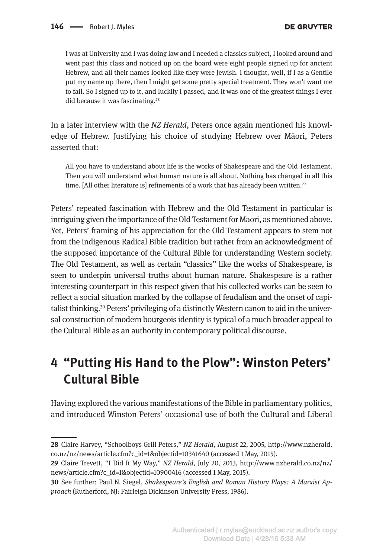I was at University and I was doing law and I needed a classics subject, I looked around and went past this class and noticed up on the board were eight people signed up for ancient Hebrew, and all their names looked like they were Jewish. I thought, well, if I as a Gentile put my name up there, then I might get some pretty special treatment. They won't want me to fail. So I signed up to it, and luckily I passed, and it was one of the greatest things I ever did because it was fascinating.<sup>28</sup>

In a later interview with the *NZ Herald*, Peters once again mentioned his knowledge of Hebrew. Justifying his choice of studying Hebrew over Māori, Peters asserted that:

All you have to understand about life is the works of Shakespeare and the Old Testament. Then you will understand what human nature is all about. Nothing has changed in all this time. [All other literature is] refinements of a work that has already been written.<sup>29</sup>

Peters' repeated fascination with Hebrew and the Old Testament in particular is intriguing given the importance of the Old Testament for Māori, as mentioned above. Yet, Peters' framing of his appreciation for the Old Testament appears to stem not from the indigenous Radical Bible tradition but rather from an acknowledgment of the supposed importance of the Cultural Bible for understanding Western society. The Old Testament, as well as certain "classics" like the works of Shakespeare, is seen to underpin universal truths about human nature. Shakespeare is a rather interesting counterpart in this respect given that his collected works can be seen to reflect a social situation marked by the collapse of feudalism and the onset of capitalist thinking.30 Peters' privileging of a distinctly Western canon to aid in the universal construction of modern bourgeois identity is typical of a much broader appeal to the Cultural Bible as an authority in contemporary political discourse.

# **4 "Putting His Hand to the Plow": Winston Peters' Cultural Bible**

Having explored the various manifestations of the Bible in parliamentary politics, and introduced Winston Peters' occasional use of both the Cultural and Liberal

**<sup>28</sup>** Claire Harvey, "Schoolboys Grill Peters," *NZ Herald*, August 22, 2005, [http://www.nzherald.](http://www.nzherald.co.nz/nz/news/article.cfm?c_id=1&objectid=10341640) [co.nz/nz/news/article.cfm?c\\_id=1&objectid=10341640](http://www.nzherald.co.nz/nz/news/article.cfm?c_id=1&objectid=10341640) (accessed 1 May, 2015).

**<sup>29</sup>** Claire Trevett, "I Did It My Way," *NZ Herald*, July 20, 2013, [http://www.nzherald.co.nz/nz/](http://www.nzherald.co.nz/nz/news/article.cfm?c_id=1&objectid=10900416) [news/article.cfm?c\\_id=1&objectid=10900416](http://www.nzherald.co.nz/nz/news/article.cfm?c_id=1&objectid=10900416) (accessed 1 May, 2015).

**<sup>30</sup>** See further: Paul N. Siegel, *Shakespeare's English and Roman History Plays: A Marxist Approach* (Rutherford, NJ: Fairleigh Dickinson University Press, 1986).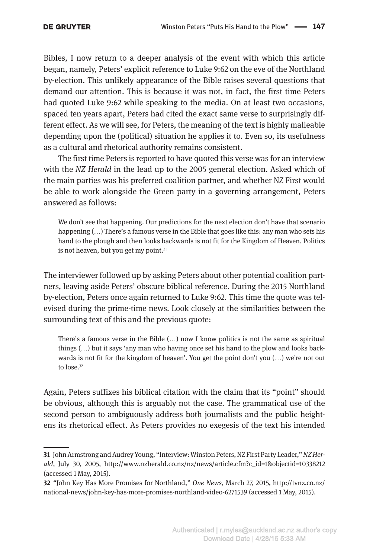Bibles, I now return to a deeper analysis of the event with which this article began, namely, Peters' explicit reference to Luke 9:62 on the eve of the Northland by-election. This unlikely appearance of the Bible raises several questions that demand our attention. This is because it was not, in fact, the first time Peters had quoted Luke 9:62 while speaking to the media. On at least two occasions, spaced ten years apart, Peters had cited the exact same verse to surprisingly different effect. As we will see, for Peters, the meaning of the text is highly malleable depending upon the (political) situation he applies it to. Even so, its usefulness as a cultural and rhetorical authority remains consistent.

The first time Peters is reported to have quoted this verse was for an interview with the *NZ Herald* in the lead up to the 2005 general election. Asked which of the main parties was his preferred coalition partner, and whether NZ First would be able to work alongside the Green party in a governing arrangement, Peters answered as follows:

We don't see that happening. Our predictions for the next election don't have that scenario happening  $(...)$  There's a famous verse in the Bible that goes like this: any man who sets his hand to the plough and then looks backwards is not fit for the Kingdom of Heaven. Politics is not heaven, but you get my point. $31$ 

The interviewer followed up by asking Peters about other potential coalition partners, leaving aside Peters' obscure biblical reference. During the 2015 Northland by-election, Peters once again returned to Luke 9:62. This time the quote was televised during the prime-time news. Look closely at the similarities between the surrounding text of this and the previous quote:

There's a famous verse in the Bible (…) now I know politics is not the same as spiritual things (…) but it says 'any man who having once set his hand to the plow and looks backwards is not fit for the kingdom of heaven'. You get the point don't you  $(...)$  we're not out to lose.<sup>32</sup>

Again, Peters suffixes his biblical citation with the claim that its "point" should be obvious, although this is arguably not the case. The grammatical use of the second person to ambiguously address both journalists and the public heightens its rhetorical effect. As Peters provides no exegesis of the text his intended

**<sup>31</sup>** John Armstrong and Audrey Young, "Interview: Winston Peters, NZ First Party Leader," *NZ Herald*, July 30, 2005, [http://www.nzherald.co.nz/nz/news/article.cfm?c\\_id=1&objectid=10338212](http://www.nzherald.co.nz/nz/news/article.cfm?c_id=1&objectid=10338212) (accessed 1 May, 2015).

**<sup>32</sup>** "John Key Has More Promises for Northland," *One News*, March 27, 2015, [http://tvnz.co.nz/](http://tvnz.co.nz/national-news/john-key-has-more-promises-northland-video-6271539) [national-news/john-key-has-more-promises-northland-video-6271539](http://tvnz.co.nz/national-news/john-key-has-more-promises-northland-video-6271539) (accessed 1 May, 2015).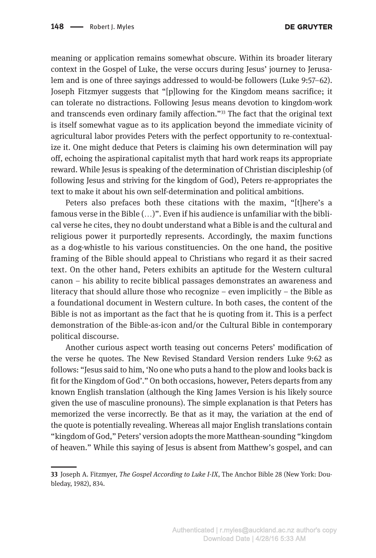meaning or application remains somewhat obscure. Within its broader literary context in the Gospel of Luke, the verse occurs during Jesus' journey to Jerusalem and is one of three sayings addressed to would-be followers (Luke 9:57–62). Joseph Fitzmyer suggests that "[p]lowing for the Kingdom means sacrifice; it can tolerate no distractions. Following Jesus means devotion to kingdom-work and transcends even ordinary family affection."<sup>33</sup> The fact that the original text is itself somewhat vague as to its application beyond the immediate vicinity of agricultural labor provides Peters with the perfect opportunity to re-contextualize it. One might deduce that Peters is claiming his own determination will pay off, echoing the aspirational capitalist myth that hard work reaps its appropriate reward. While Jesus is speaking of the determination of Christian discipleship (of following Jesus and striving for the kingdom of God), Peters re-appropriates the text to make it about his own self-determination and political ambitions.

Peters also prefaces both these citations with the maxim, "[t]here's a famous verse in the Bible (…)". Even if his audience is unfamiliar with the biblical verse he cites, they no doubt understand what a Bible is and the cultural and religious power it purportedly represents. Accordingly, the maxim functions as a dog-whistle to his various constituencies. On the one hand, the positive framing of the Bible should appeal to Christians who regard it as their sacred text. On the other hand, Peters exhibits an aptitude for the Western cultural canon – his ability to recite biblical passages demonstrates an awareness and literacy that should allure those who recognize – even implicitly – the Bible as a foundational document in Western culture. In both cases, the content of the Bible is not as important as the fact that he is quoting from it. This is a perfect demonstration of the Bible-as-icon and/or the Cultural Bible in contemporary political discourse.

Another curious aspect worth teasing out concerns Peters' modification of the verse he quotes. The New Revised Standard Version renders Luke 9:62 as follows: "Jesus said to him, 'No one who puts a hand to the plow and looks back is fit for the Kingdom of God'." On both occasions, however, Peters departs from any known English translation (although the King James Version is his likely source given the use of masculine pronouns). The simple explanation is that Peters has memorized the verse incorrectly. Be that as it may, the variation at the end of the quote is potentially revealing. Whereas all major English translations contain "kingdom of God," Peters' version adopts the more Matthean-sounding "kingdom of heaven." While this saying of Jesus is absent from Matthew's gospel, and can

**<sup>33</sup>** Joseph A. Fitzmyer, *The Gospel According to Luke I-IX*, The Anchor Bible 28 (New York: Doubleday, 1982), 834.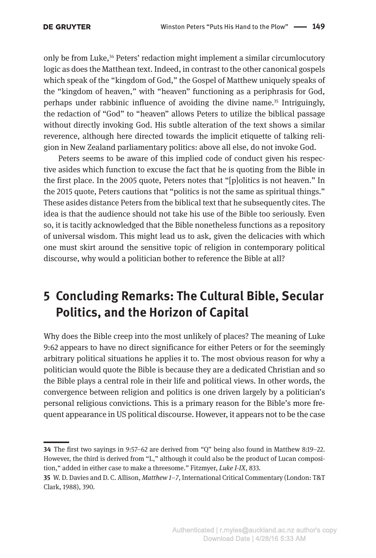only be from Luke,<sup>34</sup> Peters' redaction might implement a similar circumlocutory logic as does the Matthean text. Indeed, in contrast to the other canonical gospels which speak of the "kingdom of God," the Gospel of Matthew uniquely speaks of the "kingdom of heaven," with "heaven" functioning as a periphrasis for God, perhaps under rabbinic influence of avoiding the divine name.35 Intriguingly, the redaction of "God" to "heaven" allows Peters to utilize the biblical passage without directly invoking God. His subtle alteration of the text shows a similar reverence, although here directed towards the implicit etiquette of talking religion in New Zealand parliamentary politics: above all else, do not invoke God.

Peters seems to be aware of this implied code of conduct given his respective asides which function to excuse the fact that he is quoting from the Bible in the first place. In the 2005 quote, Peters notes that "[p]olitics is not heaven." In the 2015 quote, Peters cautions that "politics is not the same as spiritual things." These asides distance Peters from the biblical text that he subsequently cites. The idea is that the audience should not take his use of the Bible too seriously. Even so, it is tacitly acknowledged that the Bible nonetheless functions as a repository of universal wisdom. This might lead us to ask, given the delicacies with which one must skirt around the sensitive topic of religion in contemporary political discourse, why would a politician bother to reference the Bible at all?

# **5 Concluding Remarks: The Cultural Bible, Secular Politics, and the Horizon of Capital**

Why does the Bible creep into the most unlikely of places? The meaning of Luke 9:62 appears to have no direct significance for either Peters or for the seemingly arbitrary political situations he applies it to. The most obvious reason for why a politician would quote the Bible is because they are a dedicated Christian and so the Bible plays a central role in their life and political views. In other words, the convergence between religion and politics is one driven largely by a politician's personal religious convictions. This is a primary reason for the Bible's more frequent appearance in US political discourse. However, it appears not to be the case

**<sup>34</sup>** The first two sayings in 9:57–62 are derived from "Q" being also found in Matthew 8:19–22. However, the third is derived from "L," although it could also be the product of Lucan composition," added in either case to make a threesome." Fitzmyer, *Luke I-IX*, 833.

**<sup>35</sup>** W. D. Davies and D. C. Allison, *Matthew 1–7*, International Critical Commentary (London: T&T Clark, 1988), 390.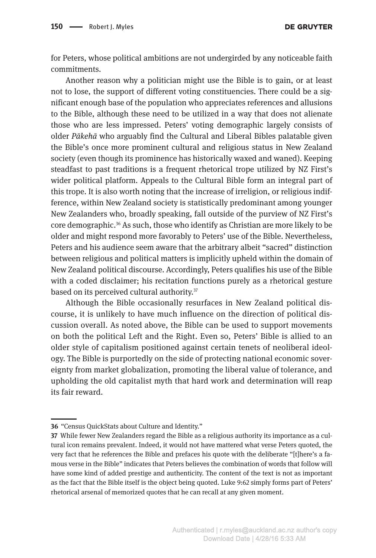for Peters, whose political ambitions are not undergirded by any noticeable faith commitments.

Another reason why a politician might use the Bible is to gain, or at least not to lose, the support of different voting constituencies. There could be a significant enough base of the population who appreciates references and allusions to the Bible, although these need to be utilized in a way that does not alienate those who are less impressed. Peters' voting demographic largely consists of older *Pākehā* who arguably find the Cultural and Liberal Bibles palatable given the Bible's once more prominent cultural and religious status in New Zealand society (even though its prominence has historically waxed and waned). Keeping steadfast to past traditions is a frequent rhetorical trope utilized by NZ First's wider political platform. Appeals to the Cultural Bible form an integral part of this trope. It is also worth noting that the increase of irreligion, or religious indifference, within New Zealand society is statistically predominant among younger New Zealanders who, broadly speaking, fall outside of the purview of NZ First's core demographic.36 As such, those who identify as Christian are more likely to be older and might respond more favorably to Peters' use of the Bible. Nevertheless, Peters and his audience seem aware that the arbitrary albeit "sacred" distinction between religious and political matters is implicitly upheld within the domain of New Zealand political discourse. Accordingly, Peters qualifies his use of the Bible with a coded disclaimer; his recitation functions purely as a rhetorical gesture based on its perceived cultural authority.37

Although the Bible occasionally resurfaces in New Zealand political discourse, it is unlikely to have much influence on the direction of political discussion overall. As noted above, the Bible can be used to support movements on both the political Left and the Right. Even so, Peters' Bible is allied to an older style of capitalism positioned against certain tenets of neoliberal ideology. The Bible is purportedly on the side of protecting national economic sovereignty from market globalization, promoting the liberal value of tolerance, and upholding the old capitalist myth that hard work and determination will reap its fair reward.

**<sup>36</sup>** "Census QuickStats about Culture and Identity."

**<sup>37</sup>** While fewer New Zealanders regard the Bible as a religious authority its importance as a cultural icon remains prevalent. Indeed, it would not have mattered what verse Peters quoted, the very fact that he references the Bible and prefaces his quote with the deliberate "[t]here's a famous verse in the Bible" indicates that Peters believes the combination of words that follow will have some kind of added prestige and authenticity. The content of the text is not as important as the fact that the Bible itself is the object being quoted. Luke 9:62 simply forms part of Peters' rhetorical arsenal of memorized quotes that he can recall at any given moment.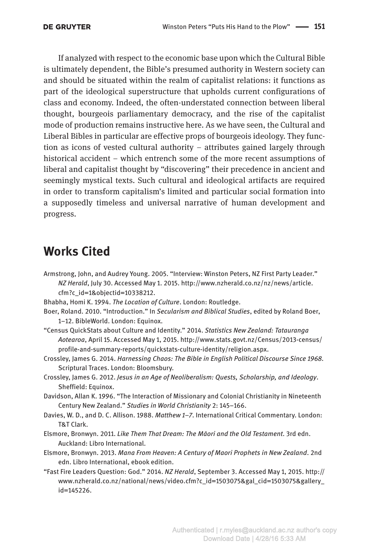If analyzed with respect to the economic base upon which the Cultural Bible is ultimately dependent, the Bible's presumed authority in Western society can and should be situated within the realm of capitalist relations: it functions as part of the ideological superstructure that upholds current configurations of class and economy. Indeed, the often-understated connection between liberal thought, bourgeois parliamentary democracy, and the rise of the capitalist mode of production remains instructive here. As we have seen, the Cultural and Liberal Bibles in particular are effective props of bourgeois ideology. They function as icons of vested cultural authority – attributes gained largely through historical accident – which entrench some of the more recent assumptions of liberal and capitalist thought by "discovering" their precedence in ancient and seemingly mystical texts. Such cultural and ideological artifacts are required in order to transform capitalism's limited and particular social formation into a supposedly timeless and universal narrative of human development and progress.

#### **Works Cited**

- Armstrong, John, and Audrey Young. 2005. "Interview: Winston Peters, NZ First Party Leader." *NZ Herald*, July 30. Accessed May 1. 2015. [http://www.nzherald.co.nz/nz/news/article.](http://www.nzherald.co.nz/nz/news/article.cfm?c_id=1&objectid=10338212) [cfm?c\\_id=1&objectid=10338212.](http://www.nzherald.co.nz/nz/news/article.cfm?c_id=1&objectid=10338212)
- Bhabha, Homi K. 1994. *The Location of Culture*. London: Routledge.
- Boer, Roland. 2010. "Introduction." In *Secularism and Biblical Studies*, edited by Roland Boer, 1–12. BibleWorld. London: Equinox.
- "Census QuickStats about Culture and Identity." 2014. *Statistics New Zealand: Tatauranga Aotearoa*, April 15. Accessed May 1, 2015. [http://www.stats.govt.nz/Census/2013-census/](http://www.stats.govt.nz/Census/2013-census/profile-and-summary-reports/quickstats-culture-identity/religion.aspx) [profile-and-summary-reports/quickstats-culture-identity/religion.aspx](http://www.stats.govt.nz/Census/2013-census/profile-and-summary-reports/quickstats-culture-identity/religion.aspx).
- Crossley, James G. 2014. *Harnessing Chaos: The Bible in English Political Discourse Since 1968*. Scriptural Traces. London: Bloomsbury.
- Crossley, James G. 2012. *Jesus in an Age of Neoliberalism: Quests, Scholarship, and Ideology*. Sheffield: Equinox.
- Davidson, Allan K. 1996. "The Interaction of Missionary and Colonial Christianity in Nineteenth Century New Zealand." *Studies in World Christianity* 2: 145–166.
- Davies, W. D., and D. C. Allison. 1988. *Matthew 1–7*. International Critical Commentary. London: T&T Clark.
- Elsmore, Bronwyn. 2011. *Like Them That Dream: The Māori and the Old Testament*. 3rd edn. Auckland: Libro International.
- Elsmore, Bronwyn. 2013. *Mana From Heaven: A Century of Maori Prophets in New Zealand*. 2nd edn. Libro International, ebook edition.
- "Fast Fire Leaders Question: God." 2014. *NZ Herald*, September 3. Accessed May 1, 2015. [http://](http://www.nzherald.co.nz/national/news/video.cfm?c_id=1503075&gal_cid=1503075&gallery_id=145226) [www.nzherald.co.nz/national/news/video.cfm?c\\_id=1503075&gal\\_cid=1503075&gallery\\_](http://www.nzherald.co.nz/national/news/video.cfm?c_id=1503075&gal_cid=1503075&gallery_id=145226) [id=145226.](http://www.nzherald.co.nz/national/news/video.cfm?c_id=1503075&gal_cid=1503075&gallery_id=145226)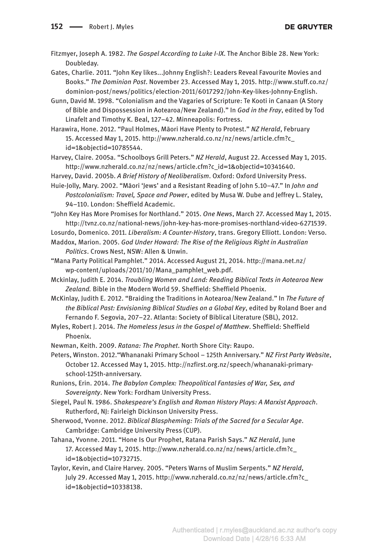Fitzmyer, Joseph A. 1982. *The Gospel According to Luke I-IX*. The Anchor Bible 28. New York: Doubleday.

Gates, Charlie. 2011. "John Key likes...Johnny English?: Leaders Reveal Favourite Movies and Books." *The Dominion Post*. November 23. Accessed May 1, 2015. [http://www.stuff.co.nz/](http://www.stuff.co.nz/dominion-post/news/politics/election-2011/6017292/John-Key-likes-Johnny-English) [dominion-post/news/politics/election-2011/6017292/John-Key-likes-Johnny-English](http://www.stuff.co.nz/dominion-post/news/politics/election-2011/6017292/John-Key-likes-Johnny-English).

Gunn, David M. 1998. "Colonialism and the Vagaries of Scripture: Te Kooti in Canaan (A Story of Bible and Dispossession in Aotearoa/New Zealand)." In *God in the Fray*, edited by Tod Linafelt and Timothy K. Beal, 127–42. Minneapolis: Fortress.

Harawira, Hone. 2012. "Paul Holmes, Māori Have Plenty to Protest." *NZ Herald*, February 15. Accessed May 1, 2015. [http://www.nzherald.co.nz/nz/news/article.cfm?c\\_](http://www.nzherald.co.nz/nz/news/article.cfm?c_id=1&objectid=10785544) [id=1&objectid=10785544.](http://www.nzherald.co.nz/nz/news/article.cfm?c_id=1&objectid=10785544)

Harvey, Claire. 2005a. "Schoolboys Grill Peters." *NZ Herald*, August 22. Accessed May 1, 2015. [http://www.nzherald.co.nz/nz/news/article.cfm?c\\_id=1&objectid=10341640](http://www.nzherald.co.nz/nz/news/article.cfm?c_id=1&objectid=10341640).

Harvey, David. 2005b. *A Brief History of Neoliberalism*. Oxford: Oxford University Press.

Huie-Jolly, Mary. 2002. "Māori 'Jews' and a Resistant Reading of John 5.10–47." In *John and Postcolonialism: Travel, Space and Power*, edited by Musa W. Dube and Jeffrey L. Staley, 94–110. London: Sheffield Academic.

"John Key Has More Promises for Northland." 2015. *One News*, March 27. Accessed May 1, 2015. <http://tvnz.co.nz/national-news/john-key-has-more-promises-northland-video-6271539>.

Losurdo, Domenico. 2011. *Liberalism: A Counter-History*, trans. Gregory Elliott. London: Verso.

Maddox, Marion. 2005. *God Under Howard: The Rise of the Religious Right in Australian Politics*. Crows Nest, NSW: Allen & Unwin.

"Mana Party Political Pamphlet." 2014. Accessed August 21, 2014. [http://mana.net.nz/](http://mana.net.nz/wp-content/uploads/2011/10/Mana_pamphlet_web.pdf) [wp-content/uploads/2011/10/Mana\\_pamphlet\\_web.pdf.](http://mana.net.nz/wp-content/uploads/2011/10/Mana_pamphlet_web.pdf)

Mckinlay, Judith E. 2014. *Troubling Women and Land: Reading Biblical Texts in Aotearoa New Zealand.* Bible in the Modern World 59. Sheffield: Sheffield Phoenix.

McKinlay, Judith E. 2012. "Braiding the Traditions in Aotearoa/New Zealand." In *The Future of the Biblical Past: Envisioning Biblical Studies on a Global Key*, edited by Roland Boer and Fernando F. Segovia, 207–22. Atlanta: Society of Biblical Literature (SBL), 2012.

Myles, Robert J. 2014. *The Homeless Jesus in the Gospel of Matthew*. Sheffield: Sheffield Phoenix.

Newman, Keith. 2009. *Ratana: The Prophet*. North Shore City: Raupo.

Peters, Winston. 2012."Whananaki Primary School – 125th Anniversary." *NZ First Party Website*, October 12. Accessed May 1, 2015. [http://nzfirst.org.nz/speech/whananaki-primary](http://nzfirst.org.nz/speech/whananaki-primary-school-125th-anniversary)[school-125th-anniversary.](http://nzfirst.org.nz/speech/whananaki-primary-school-125th-anniversary)

Runions, Erin. 2014. *The Babylon Complex: Theopolitical Fantasies of War, Sex, and Sovereignty*. New York: Fordham University Press.

Siegel, Paul N. 1986. *Shakespeare's English and Roman History Plays: A Marxist Approach*. Rutherford, NJ: Fairleigh Dickinson University Press.

Sherwood, Yvonne. 2012. *Biblical Blaspheming: Trials of the Sacred for a Secular Age*. Cambridge: Cambridge University Press (CUP).

Tahana, Yvonne. 2011. "Hone Is Our Prophet, Ratana Parish Says." *NZ Herald*, June 17. Accessed May 1, 2015. [http://www.nzherald.co.nz/nz/news/article.cfm?c\\_](http://www.nzherald.co.nz/nz/news/article.cfm?c_id=1&objectid=10732715) [id=1&objectid=10732715](http://www.nzherald.co.nz/nz/news/article.cfm?c_id=1&objectid=10732715).

Taylor, Kevin, and Claire Harvey. 2005. "Peters Warns of Muslim Serpents." *NZ Herald*, July 29. Accessed May 1, 2015. [http://www.nzherald.co.nz/nz/news/article.cfm?c\\_](http://www.nzherald.co.nz/nz/news/article.cfm?c_id=1&objectid=10338138) [id=1&objectid=10338138.](http://www.nzherald.co.nz/nz/news/article.cfm?c_id=1&objectid=10338138)